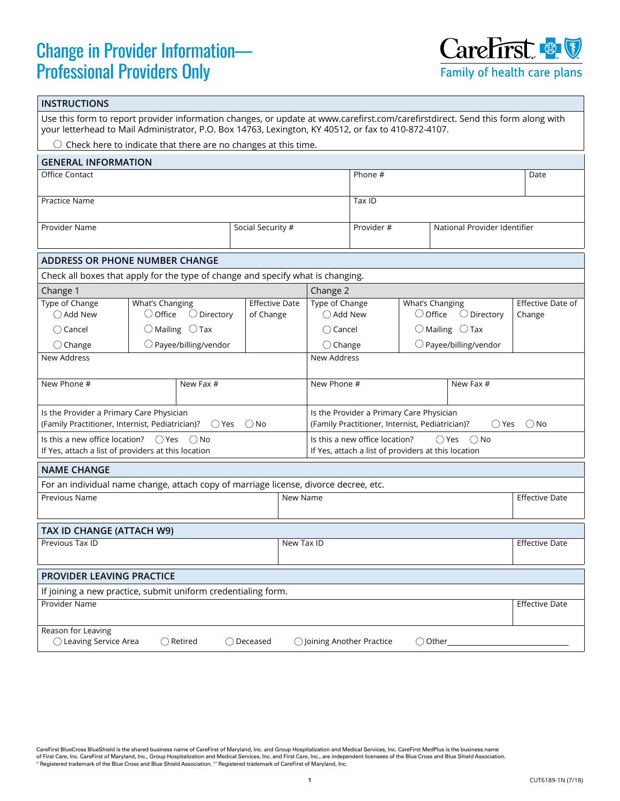## Change in Provider Information— Professional Providers Only



| <b>INSTRUCTIONS</b>                                                                                                                                                                                                                                                                                                 |                                                                                      |                                    |                                                                                                                          |                                                      |                                                              |                       |                             |  |  |
|---------------------------------------------------------------------------------------------------------------------------------------------------------------------------------------------------------------------------------------------------------------------------------------------------------------------|--------------------------------------------------------------------------------------|------------------------------------|--------------------------------------------------------------------------------------------------------------------------|------------------------------------------------------|--------------------------------------------------------------|-----------------------|-----------------------------|--|--|
| Use this form to report provider information changes, or update at www.carefirst.com/carefirstdirect. Send this form along with<br>your letterhead to Mail Administrator, P.O. Box 14763, Lexington, KY 40512, or fax to 410-872-4107.<br>$\bigcirc$ Check here to indicate that there are no changes at this time. |                                                                                      |                                    |                                                                                                                          |                                                      |                                                              |                       |                             |  |  |
|                                                                                                                                                                                                                                                                                                                     |                                                                                      |                                    |                                                                                                                          |                                                      |                                                              |                       |                             |  |  |
| <b>GENERAL INFORMATION</b><br>Office Contact                                                                                                                                                                                                                                                                        |                                                                                      |                                    |                                                                                                                          | Phone #                                              |                                                              |                       | Date                        |  |  |
|                                                                                                                                                                                                                                                                                                                     |                                                                                      |                                    |                                                                                                                          |                                                      |                                                              |                       |                             |  |  |
| Practice Name                                                                                                                                                                                                                                                                                                       |                                                                                      |                                    | Tax ID                                                                                                                   |                                                      |                                                              |                       |                             |  |  |
| Provider Name                                                                                                                                                                                                                                                                                                       |                                                                                      | Social Security #                  | National Provider Identifier<br>Provider #                                                                               |                                                      |                                                              |                       |                             |  |  |
| <b>ADDRESS OR PHONE NUMBER CHANGE</b>                                                                                                                                                                                                                                                                               |                                                                                      |                                    |                                                                                                                          |                                                      |                                                              |                       |                             |  |  |
| Check all boxes that apply for the type of change and specify what is changing.                                                                                                                                                                                                                                     |                                                                                      |                                    |                                                                                                                          |                                                      |                                                              |                       |                             |  |  |
| Change 1                                                                                                                                                                                                                                                                                                            |                                                                                      |                                    |                                                                                                                          | Change 2                                             |                                                              |                       |                             |  |  |
| Type of Change<br>◯ Add New                                                                                                                                                                                                                                                                                         | What's Changing<br>$\bigcirc$ Office<br>$\bigcirc$ Directory                         | <b>Effective Date</b><br>of Change | Type of Change<br>◯ Add New                                                                                              |                                                      | What's Changing<br>$\bigcirc$ Office<br>$\bigcirc$ Directory |                       | Effective Date of<br>Change |  |  |
| $\bigcirc$ Cancel                                                                                                                                                                                                                                                                                                   | $\bigcirc$ Mailing $\bigcirc$ Tax                                                    |                                    | $\bigcirc$ Cancel                                                                                                        |                                                      | $\bigcirc$ Mailing $\bigcirc$ Tax                            |                       |                             |  |  |
| $\bigcirc$ Change                                                                                                                                                                                                                                                                                                   | $\bigcirc$ Payee/billing/vendor                                                      |                                    |                                                                                                                          | $\bigcirc$ Payee/billing/vendor<br>$\bigcirc$ Change |                                                              |                       |                             |  |  |
| <b>New Address</b><br>New Address                                                                                                                                                                                                                                                                                   |                                                                                      |                                    |                                                                                                                          |                                                      |                                                              |                       |                             |  |  |
| New Phone #                                                                                                                                                                                                                                                                                                         | New Fax #                                                                            |                                    | New Phone #                                                                                                              |                                                      |                                                              | New Fax #             |                             |  |  |
| Is the Provider a Primary Care Physician<br>(Family Practitioner, Internist, Pediatrician)?<br>$\bigcirc$ Yes<br>$\bigcirc$ No                                                                                                                                                                                      |                                                                                      |                                    | Is the Provider a Primary Care Physician<br>(Family Practitioner, Internist, Pediatrician)?<br>$\bigcirc$ No<br>◯ Yes    |                                                      |                                                              |                       |                             |  |  |
| Is this a new office location? $\bigcirc$ Yes<br>() No<br>If Yes, attach a list of providers at this location                                                                                                                                                                                                       |                                                                                      |                                    | Is this a new office location?<br>$\bigcirc$ Yes<br>$\bigcirc$ No<br>If Yes, attach a list of providers at this location |                                                      |                                                              |                       |                             |  |  |
| <b>NAME CHANGE</b>                                                                                                                                                                                                                                                                                                  |                                                                                      |                                    |                                                                                                                          |                                                      |                                                              |                       |                             |  |  |
|                                                                                                                                                                                                                                                                                                                     | For an individual name change, attach copy of marriage license, divorce decree, etc. |                                    |                                                                                                                          |                                                      |                                                              |                       |                             |  |  |
| Previous Name<br>New Name                                                                                                                                                                                                                                                                                           |                                                                                      |                                    |                                                                                                                          |                                                      |                                                              |                       | <b>Effective Date</b>       |  |  |
| TAX ID CHANGE (ATTACH W9)                                                                                                                                                                                                                                                                                           |                                                                                      |                                    |                                                                                                                          |                                                      |                                                              |                       |                             |  |  |
| Previous Tax ID<br>New Tax ID                                                                                                                                                                                                                                                                                       |                                                                                      |                                    |                                                                                                                          |                                                      |                                                              | <b>Effective Date</b> |                             |  |  |
| <b>PROVIDER LEAVING PRACTICE</b>                                                                                                                                                                                                                                                                                    |                                                                                      |                                    |                                                                                                                          |                                                      |                                                              |                       |                             |  |  |
| If joining a new practice, submit uniform credentialing form.                                                                                                                                                                                                                                                       |                                                                                      |                                    |                                                                                                                          |                                                      |                                                              |                       |                             |  |  |
| Provider Name                                                                                                                                                                                                                                                                                                       |                                                                                      |                                    |                                                                                                                          |                                                      | <b>Effective Date</b>                                        |                       |                             |  |  |
| Reason for Leaving<br>◯ Leaving Service Area<br>$\bigcirc$ Retired<br>$\bigcirc$ Deceased<br>$\bigcirc$ Joining Another Practice<br>$\bigcirc$ Other                                                                                                                                                                |                                                                                      |                                    |                                                                                                                          |                                                      |                                                              |                       |                             |  |  |

CareFirst BlueCross BlueShield is the shared business name of CareFirst of Maryland, Inc. and Group Hospitalization and Medical Services, Inc. CareFirst MedPlus is the business name<br>of First Care, Inc. CareFirst of Marylan ® Registered trademark of the Blue Cross and Blue Shield Association. <sup>®</sup> Registered trademark of CareFirst of Maryland, Inc.